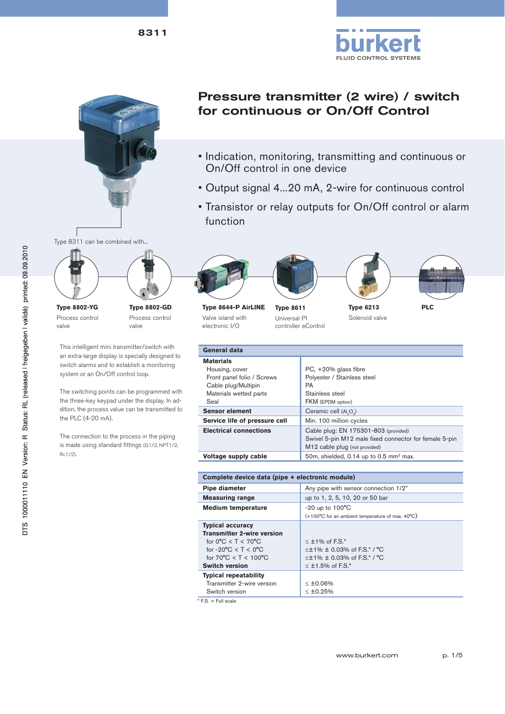



8311

# Pressure transmitter (2 wire) / switch for continuous or On/Off Control

- Indication, monitoring, transmitting and continuous or On/Off control in one device
- Output signal 4...20 mA, 2-wire for continuous control
- Transistor or relay outputs for On/Off control or alarm function



**Type 8802-YG** Process control valve



This intelligent mini transmitter/switch with an extra-large display is specially designed to switch alarms and to establish a monitoring system or an On/Off control loop.

The switching points can be programmed with the three-key keypad under the display. In addition, the process value can be transmitted to the PLC (4-20 mA).

The connection to the process in the piping is made using standard fittings (G1/2, NPT1/2, Rc1/2).











**Type 8644-P AirLINE** Valve island with electronic I/O

Universal PI controller eControl

Solenoid valve

**Type 6213 Type 8611 PLC**

| <b>General data</b>           |                                                        |  |  |  |  |
|-------------------------------|--------------------------------------------------------|--|--|--|--|
| <b>Materials</b>              |                                                        |  |  |  |  |
| Housing, cover                | $PC, +20\%$ glass fibre                                |  |  |  |  |
| Front panel folio / Screws    | Polyester / Stainless steel                            |  |  |  |  |
| Cable plug/Multipin           | PA                                                     |  |  |  |  |
| Materials wetted parts        | Stainless steel                                        |  |  |  |  |
| Seal                          | FKM (EPDM option)                                      |  |  |  |  |
| <b>Sensor element</b>         | Ceramic cell (Al.O.)                                   |  |  |  |  |
| Service life of pressure cell | Min. 100 million cycles                                |  |  |  |  |
| <b>Electrical connections</b> | Cable plug: EN 175301-803 (provided)                   |  |  |  |  |
|                               | Swivel 5-pin M12 male fixed connector for female 5-pin |  |  |  |  |
|                               | M12 cable plug (not provided)                          |  |  |  |  |
| Voltage supply cable          | 50m, shielded, $0.14$ up to 0.5 mm <sup>2</sup> max.   |  |  |  |  |

| Complete device data (pipe + electronic module)                                                                                                                                                                        |                                                                                                                                |  |  |  |
|------------------------------------------------------------------------------------------------------------------------------------------------------------------------------------------------------------------------|--------------------------------------------------------------------------------------------------------------------------------|--|--|--|
| Pipe diameter                                                                                                                                                                                                          | Any pipe with sensor connection 1/2"                                                                                           |  |  |  |
| <b>Measuring range</b>                                                                                                                                                                                                 | up to 1, 2, 5, 10, 20 or 50 bar                                                                                                |  |  |  |
| <b>Medium temperature</b>                                                                                                                                                                                              | $-20$ up to $100^{\circ}$ C                                                                                                    |  |  |  |
|                                                                                                                                                                                                                        | $(+100^{\circ}$ C for an ambient temperature of max. $40^{\circ}$ C)                                                           |  |  |  |
| <b>Typical accuracy</b><br><b>Transmitter 2-wire version</b><br>for $0^{\circ}$ C < T < $70^{\circ}$ C<br>for -20 $\degree$ C < T < 0 $\degree$ C<br>for $70^{\circ}$ C < T < $100^{\circ}$ C<br><b>Switch version</b> | $\leq$ ±1% of F.S.*<br>$\leq$ ± 1% $\pm$ 0.03% of F.S.* / °C<br>$\leq$ ± 1% $\pm$ 0.03% of F.S.* / °C<br>$\leq$ ±1.5% of F.S.* |  |  |  |
| <b>Typical repeatability</b><br>Transmitter 2-wire version<br>Switch version                                                                                                                                           | $< 10.06\%$<br>$< 10.25\%$                                                                                                     |  |  |  |
| $FS = Full scale$                                                                                                                                                                                                      |                                                                                                                                |  |  |  |

\* F.S. = Full scale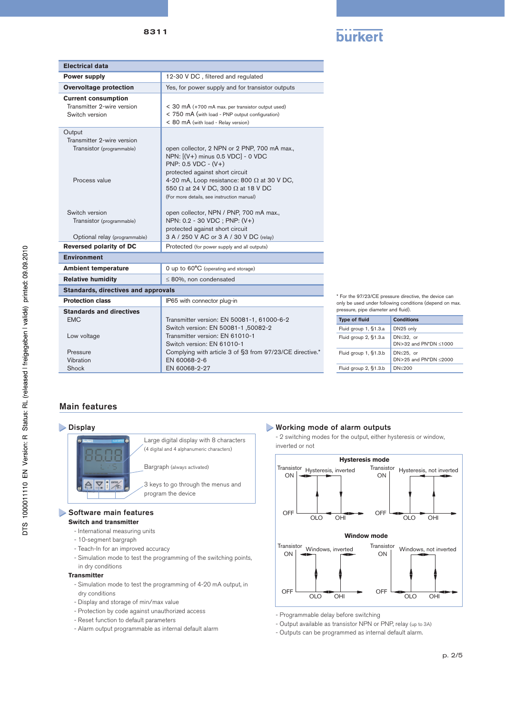| . |  |
|---|--|
|   |  |

| 12-30 V DC, filtered and regulated                                                                                                                                                                                                                                                                      |  |  |  |
|---------------------------------------------------------------------------------------------------------------------------------------------------------------------------------------------------------------------------------------------------------------------------------------------------------|--|--|--|
|                                                                                                                                                                                                                                                                                                         |  |  |  |
| Yes, for power supply and for transistor outputs                                                                                                                                                                                                                                                        |  |  |  |
| $<$ 30 mA (+700 mA max. per transistor output used)<br>< 750 mA (with load - PNP output configuration)<br>< 80 mA (with load - Relay version)                                                                                                                                                           |  |  |  |
| open collector, 2 NPN or 2 PNP, 700 mA max.,<br>NPN: [(V+) minus 0.5 VDC] - 0 VDC<br>PNP: $0.5$ VDC - $(V+)$<br>protected against short circuit<br>4-20 mA, Loop resistance: 800 $\Omega$ at 30 V DC,<br>550 $\Omega$ at 24 V DC, 300 $\Omega$ at 18 V DC<br>(For more details, see instruction manual) |  |  |  |
| open collector, NPN / PNP, 700 mA max.,<br>NPN: 0.2 - 30 VDC; PNP: (V+)<br>protected against short circuit<br>3 A / 250 V AC or 3 A / 30 V DC (relay)                                                                                                                                                   |  |  |  |
| Protected (for power supply and all outputs)                                                                                                                                                                                                                                                            |  |  |  |
|                                                                                                                                                                                                                                                                                                         |  |  |  |
| 0 up to 60°C (operating and storage)                                                                                                                                                                                                                                                                    |  |  |  |
| $\leq$ 80%, non condensated                                                                                                                                                                                                                                                                             |  |  |  |
|                                                                                                                                                                                                                                                                                                         |  |  |  |
| IP65 with connector plug-in                                                                                                                                                                                                                                                                             |  |  |  |
| Transmitter version: EN 50081-1, 61000-6-2<br>Switch version: EN 50081-1,50082-2<br>Transmitter version: FN 61010-1<br>Switch version: EN 61010-1<br>Complying with article 3 of §3 from 97/23/CE directive.*<br>EN 60068-2-6<br>EN 60068-2-27                                                          |  |  |  |
|                                                                                                                                                                                                                                                                                                         |  |  |  |

\* For the 97/23/CE pressure directive, the device can only be used under following conditions (depend on max. pressure, pipe diameter and fluid).

| .                     |                                            |  |  |  |  |
|-----------------------|--------------------------------------------|--|--|--|--|
| <b>Type of fluid</b>  | <b>Conditions</b>                          |  |  |  |  |
| Fluid group 1, §1.3.a | DN25 only                                  |  |  |  |  |
| Fluid group 2, §1.3.a | DN≤32. or<br>DN>32 and PN*DN <1000         |  |  |  |  |
| Fluid group 1, §1.3.b | $DN \leq 25$ . or<br>DN>25 and PN*DN <2000 |  |  |  |  |
| Fluid group 2, §1.3.b | DN<200                                     |  |  |  |  |

## Main features

#### > Display



Large digital display with 8 characters (4 digital and 4 alphanumeric characters)

Bargraph (always activated)

3 keys to go through the menus and program the device

#### Software main features

#### **Switch and transmitter**

- International measuring units
- 10-segment bargraph
- Teach-In for an improved accuracy
- Simulation mode to test the programming of the switching points,
- in dry conditions

#### **Transmitter**

- Simulation mode to test the programming of 4-20 mA output, in dry conditions
- Display and storage of min/max value
- Protection by code against unauthorized access
- Reset function to default parameters
- Alarm output programmable as internal default alarm

#### Working mode of alarm outputs

 - 2 switching modes for the output, either hysteresis or window, inverted or not



- Programmable delay before switching

- Output available as transistor NPN or PNP, relay (up to 3A)

- Outputs can be programmed as internal default alarm.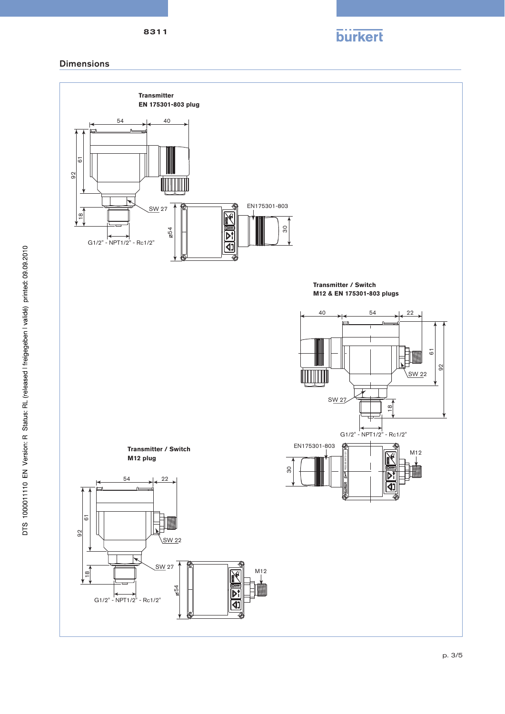

## Dimensions

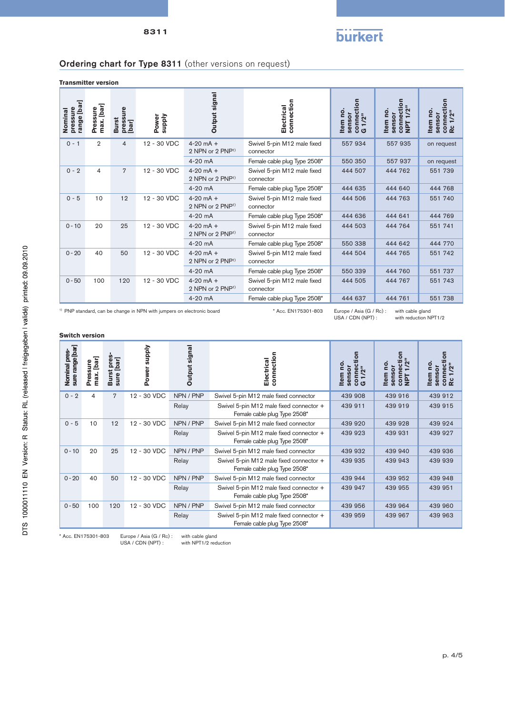# **burkert**

# Ordering chart for Type 8311 (other versions on request)

**Transmitter version**

| range [bar]<br>pressure<br>Nominal                                                                       | max. [bar]<br>Pressure    | pressure<br>[bar]<br><b>Burst</b> | Power<br><b>Supply</b> | Output signal                                   | connection<br>Electrical                    | connection<br>G 1/2"<br>Item no.<br>sensor | connection<br>NPT 1/2"<br>Item no.<br>sensor | connection<br>Item no.<br>1/2"<br>sensor<br>œ |
|----------------------------------------------------------------------------------------------------------|---------------------------|-----------------------------------|------------------------|-------------------------------------------------|---------------------------------------------|--------------------------------------------|----------------------------------------------|-----------------------------------------------|
| $0 - 1$                                                                                                  | $\overline{2}$            | 4                                 | 12 - 30 VDC            | $4 - 20$ mA $+$<br>2 NPN or 2 PNP <sup>1)</sup> | Swivel 5-pin M12 male fixed<br>connector    | 557934                                     | 557 935                                      | on request                                    |
|                                                                                                          |                           |                                   |                        | 4-20 mA                                         | Female cable plug Type 2508*                | 550 350                                    | 557937                                       | on request                                    |
| $0 - 2$                                                                                                  | 4                         | $\overline{7}$                    | 12 - 30 VDC            | $4 - 20$ mA $+$<br>2 NPN or 2 PNP <sup>1)</sup> | Swivel 5-pin M12 male fixed<br>connector    | 444 507                                    | 444 762                                      | 551 739                                       |
|                                                                                                          |                           |                                   |                        | $4-20$ mA                                       | Female cable plug Type 2508*                | 444 635                                    | 444 640                                      | 444 768                                       |
| $0 - 5$                                                                                                  | 10                        | 12                                | 12 - 30 VDC            | $4 - 20$ mA +<br>2 NPN or 2 PNP <sup>1)</sup>   | Swivel 5-pin M12 male fixed<br>connector    | 444 506                                    | 444 763                                      | 551 740                                       |
|                                                                                                          |                           |                                   |                        | 4-20 mA                                         | Female cable plug Type 2508*                | 444 636                                    | 444 641                                      | 444 769                                       |
| $0 - 10$                                                                                                 | 20                        | 25                                | 12 - 30 VDC            | $4 - 20$ mA +<br>2 NPN or 2 PNP <sup>1)</sup>   | Swivel 5-pin M12 male fixed<br>connector    | 444 503                                    | 444 764                                      | 551 741                                       |
|                                                                                                          |                           |                                   |                        | $4-20$ mA                                       | Female cable plug Type 2508*                | 550 338                                    | 444 642                                      | 444 770                                       |
| $0 - 20$                                                                                                 | 40                        | 50                                | 12 - 30 VDC            | $4 - 20$ mA $+$<br>2 NPN or 2 PNP <sup>1)</sup> | Swivel 5-pin M12 male fixed<br>connector    | 444 504                                    | 444 765                                      | 551 742                                       |
|                                                                                                          |                           |                                   |                        | $4-20$ mA                                       | Female cable plug Type 2508*                | 550 339                                    | 444 760                                      | 551 737                                       |
| $0 - 50$                                                                                                 | 100<br>120<br>12 - 30 VDC |                                   |                        | $4 - 20$ mA $+$<br>2 NPN or 2 PNP <sup>1)</sup> | Swivel 5-pin M12 male fixed<br>connector    | 444 505                                    | 444 767                                      | 551 743                                       |
|                                                                                                          |                           |                                   |                        | 4-20 mA                                         | Female cable plug Type 2508*                | 444 637                                    | 444 761                                      | 551 738                                       |
| <sup>1)</sup> PNP standard, can be change in NPN with jumpers on electronic board<br>* Acc. EN175301-803 |                           |                                   |                        |                                                 | Europe / Asia (G / Rc):<br>USA / CDN (NPT): | with cable gland                           | with reduction NPT1/2                        |                                               |

with reduction NPT1/2

| sure range [bar]<br>Nominal pres- | max. [bar]<br>Pressure | pres-<br>sure [bar]<br><b>Burst</b> | Viddns<br>Power | Output signal | connection<br>Electrical                                                | ត<br><b>Di</b><br>sensor<br>1/2"<br>conne<br><b>Item</b><br>O | connection<br>/2"<br><u>o</u><br>sensor<br><b>Item</b><br><b>Tdi</b> | 등<br>connecti<br><u>o</u><br>1/2"<br>sensor<br><b>Item</b><br>œ |
|-----------------------------------|------------------------|-------------------------------------|-----------------|---------------|-------------------------------------------------------------------------|---------------------------------------------------------------|----------------------------------------------------------------------|-----------------------------------------------------------------|
| $0 - 2$                           | 4                      | 7                                   | 12 - 30 VDC     | NPN / PNP     | Swivel 5-pin M12 male fixed connector                                   | 439 908                                                       | 439 916                                                              | 439 912                                                         |
|                                   |                        |                                     |                 | Relay         | Swivel 5-pin M12 male fixed connector +<br>Female cable plug Type 2508* | 439 911                                                       | 439 919                                                              | 439 915                                                         |
| $0 - 5$                           | 10                     | 12                                  | 12 - 30 VDC     | NPN / PNP     | Swivel 5-pin M12 male fixed connector                                   | 439 920                                                       | 439 928                                                              | 439 924                                                         |
|                                   |                        |                                     |                 | Relay         | Swivel 5-pin M12 male fixed connector +<br>Female cable plug Type 2508* | 439 923                                                       | 439 931                                                              | 439 927                                                         |
| $0 - 10$                          | 20                     | 25                                  | 12 - 30 VDC     | NPN / PNP     | Swivel 5-pin M12 male fixed connector                                   | 439 932                                                       | 439 940                                                              | 439 936                                                         |
|                                   |                        |                                     |                 | Relay         | Swivel 5-pin M12 male fixed connector +<br>Female cable plug Type 2508* | 439 935                                                       | 439 943                                                              | 439 939                                                         |
| $0 - 20$                          | 40                     | 50                                  | 12 - 30 VDC     | NPN / PNP     | Swivel 5-pin M12 male fixed connector                                   | 439 944                                                       | 439 952                                                              | 439 948                                                         |
|                                   |                        |                                     |                 | Relay         | Swivel 5-pin M12 male fixed connector +<br>Female cable plug Type 2508* | 439 947                                                       | 439 955                                                              | 439 951                                                         |
| $0 - 50$                          | 100                    | 120                                 | 12 - 30 VDC     | NPN / PNP     | Swivel 5-pin M12 male fixed connector                                   | 439 956                                                       | 439 964                                                              | 439 960                                                         |
|                                   |                        |                                     |                 | Relay         | Swivel 5-pin M12 male fixed connector +<br>Female cable plug Type 2508* | 439 959                                                       | 439 967                                                              | 439 963                                                         |

\* Acc. EN175301-803 Europe / Asia (G / Rc) : with cable gland with NPT1/2 reduction